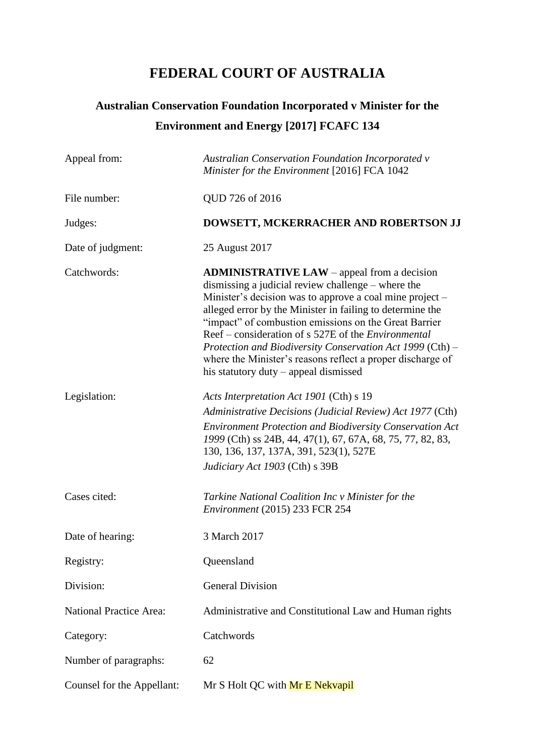# **FEDERAL COURT OF AUSTRALIA**

# **Australian Conservation Foundation Incorporated v Minister for the Environment and Energy [2017] FCAFC 134**

| Appeal from:                   | <b>Australian Conservation Foundation Incorporated v</b><br>Minister for the Environment [2016] FCA 1042                                                                                                                                                                                                                                                                                                                                                                                                                     |
|--------------------------------|------------------------------------------------------------------------------------------------------------------------------------------------------------------------------------------------------------------------------------------------------------------------------------------------------------------------------------------------------------------------------------------------------------------------------------------------------------------------------------------------------------------------------|
| File number:                   | QUD 726 of 2016                                                                                                                                                                                                                                                                                                                                                                                                                                                                                                              |
| Judges:                        | DOWSETT, MCKERRACHER AND ROBERTSON JJ                                                                                                                                                                                                                                                                                                                                                                                                                                                                                        |
| Date of judgment:              | 25 August 2017                                                                                                                                                                                                                                                                                                                                                                                                                                                                                                               |
| Catchwords:                    | <b>ADMINISTRATIVE LAW</b> – appeal from a decision<br>dismissing a judicial review challenge – where the<br>Minister's decision was to approve a coal mine project –<br>alleged error by the Minister in failing to determine the<br>"impact" of combustion emissions on the Great Barrier<br>Reef – consideration of s 527E of the <i>Environmental</i><br>Protection and Biodiversity Conservation Act 1999 (Cth) -<br>where the Minister's reasons reflect a proper discharge of<br>his statutory duty – appeal dismissed |
| Legislation:                   | Acts Interpretation Act 1901 (Cth) s 19<br>Administrative Decisions (Judicial Review) Act 1977 (Cth)<br><b>Environment Protection and Biodiversity Conservation Act</b><br>1999 (Cth) ss 24B, 44, 47(1), 67, 67A, 68, 75, 77, 82, 83,<br>130, 136, 137, 137A, 391, 523(1), 527E<br>Judiciary Act 1903 (Cth) s 39B                                                                                                                                                                                                            |
| Cases cited:                   | Tarkine National Coalition Inc v Minister for the<br>Environment (2015) 233 FCR 254                                                                                                                                                                                                                                                                                                                                                                                                                                          |
| Date of hearing:               | 3 March 2017                                                                                                                                                                                                                                                                                                                                                                                                                                                                                                                 |
| Registry:                      | Queensland                                                                                                                                                                                                                                                                                                                                                                                                                                                                                                                   |
| Division:                      | <b>General Division</b>                                                                                                                                                                                                                                                                                                                                                                                                                                                                                                      |
| <b>National Practice Area:</b> | Administrative and Constitutional Law and Human rights                                                                                                                                                                                                                                                                                                                                                                                                                                                                       |
| Category:                      | Catchwords                                                                                                                                                                                                                                                                                                                                                                                                                                                                                                                   |
| Number of paragraphs:          | 62                                                                                                                                                                                                                                                                                                                                                                                                                                                                                                                           |
| Counsel for the Appellant:     | Mr S Holt QC with Mr E Nekvapil                                                                                                                                                                                                                                                                                                                                                                                                                                                                                              |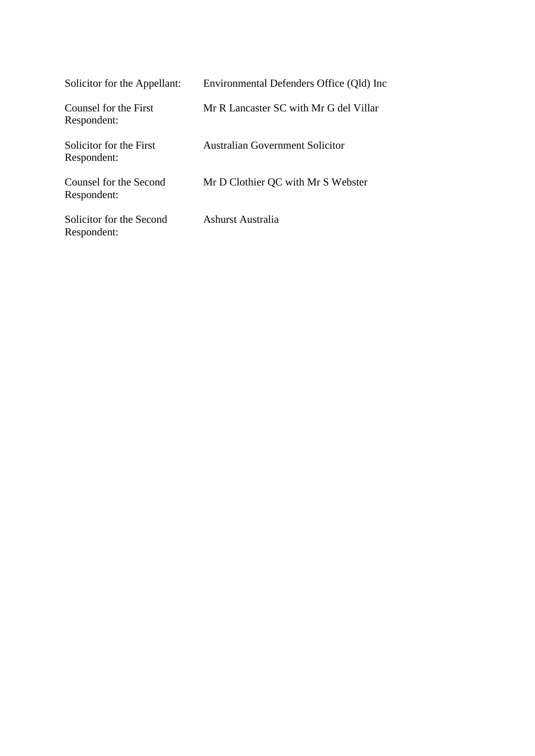| Solicitor for the Appellant:            | Environmental Defenders Office (Old) Inc |
|-----------------------------------------|------------------------------------------|
| Counsel for the First<br>Respondent:    | Mr R Lancaster SC with Mr G del Villar   |
| Solicitor for the First<br>Respondent:  | Australian Government Solicitor          |
| Counsel for the Second<br>Respondent:   | Mr D Clothier QC with Mr S Webster       |
| Solicitor for the Second<br>Respondent: | Ashurst Australia                        |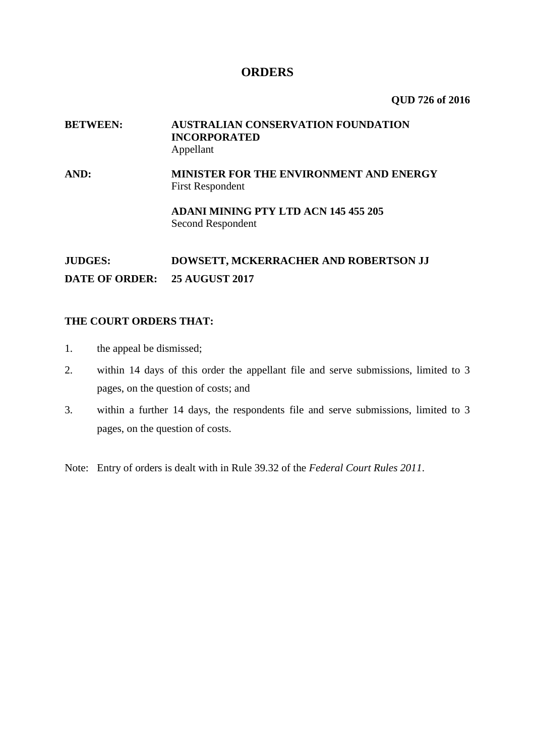## **ORDERS**

**QUD 726 of 2016**

## **BETWEEN: AUSTRALIAN CONSERVATION FOUNDATION INCORPORATED** Appellant

**AND: MINISTER FOR THE ENVIRONMENT AND ENERGY** First Respondent

> **ADANI MINING PTY LTD ACN 145 455 205** Second Respondent

## **JUDGES: DOWSETT, MCKERRACHER AND ROBERTSON JJ DATE OF ORDER: 25 AUGUST 2017**

## **THE COURT ORDERS THAT:**

- 1. the appeal be dismissed;
- 2. within 14 days of this order the appellant file and serve submissions, limited to 3 pages, on the question of costs; and
- 3. within a further 14 days, the respondents file and serve submissions, limited to 3 pages, on the question of costs.

Note: Entry of orders is dealt with in Rule 39.32 of the *Federal Court Rules 2011*.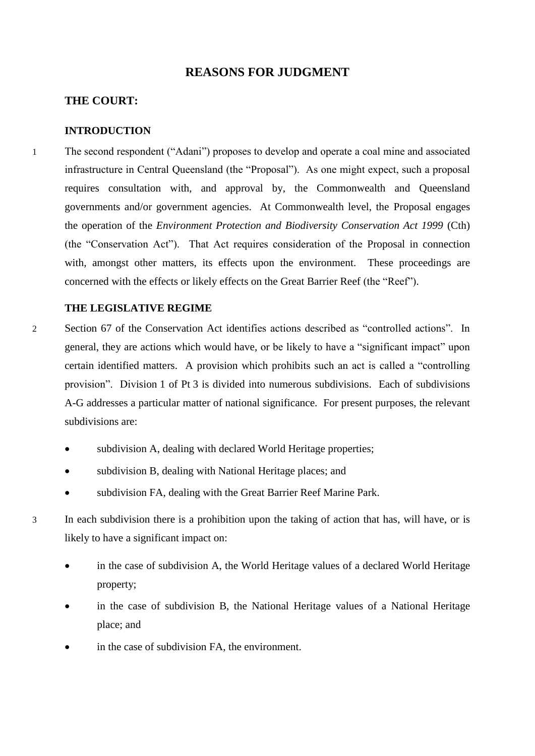## **REASONS FOR JUDGMENT**

## **THE COURT:**

## **INTRODUCTION**

1 The second respondent ("Adani") proposes to develop and operate a coal mine and associated infrastructure in Central Queensland (the "Proposal"). As one might expect, such a proposal requires consultation with, and approval by, the Commonwealth and Queensland governments and/or government agencies. At Commonwealth level, the Proposal engages the operation of the *Environment Protection and Biodiversity Conservation Act 1999* (Cth) (the "Conservation Act"). That Act requires consideration of the Proposal in connection with, amongst other matters, its effects upon the environment. These proceedings are concerned with the effects or likely effects on the Great Barrier Reef (the "Reef").

## **THE LEGISLATIVE REGIME**

- 2 Section 67 of the Conservation Act identifies actions described as "controlled actions". In general, they are actions which would have, or be likely to have a "significant impact" upon certain identified matters. A provision which prohibits such an act is called a "controlling provision". Division 1 of Pt 3 is divided into numerous subdivisions. Each of subdivisions A-G addresses a particular matter of national significance. For present purposes, the relevant subdivisions are:
	- subdivision A, dealing with declared World Heritage properties;
	- subdivision B, dealing with National Heritage places; and
	- subdivision FA, dealing with the Great Barrier Reef Marine Park.
- 

3 In each subdivision there is a prohibition upon the taking of action that has, will have, or is likely to have a significant impact on:

- in the case of subdivision A, the World Heritage values of a declared World Heritage property;
- in the case of subdivision B, the National Heritage values of a National Heritage place; and
- in the case of subdivision FA, the environment.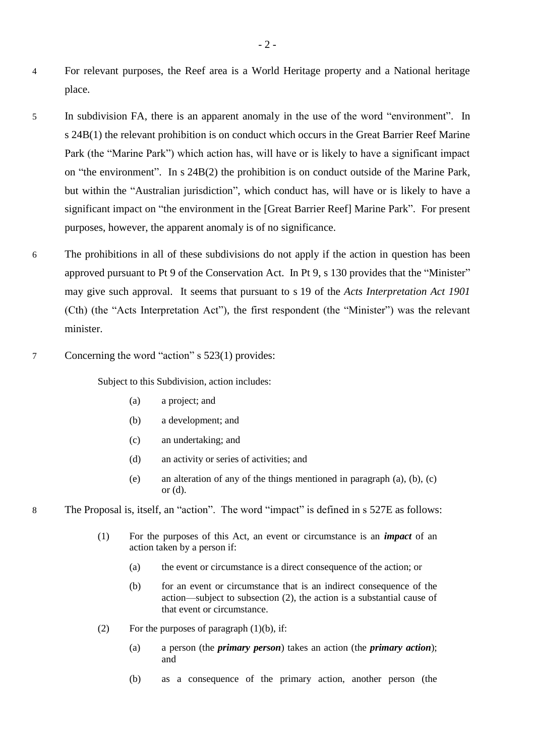- 4 For relevant purposes, the Reef area is a World Heritage property and a National heritage place.
- 5 In subdivision FA, there is an apparent anomaly in the use of the word "environment". In s 24B(1) the relevant prohibition is on conduct which occurs in the Great Barrier Reef Marine Park (the "Marine Park") which action has, will have or is likely to have a significant impact on "the environment". In s 24B(2) the prohibition is on conduct outside of the Marine Park, but within the "Australian jurisdiction", which conduct has, will have or is likely to have a significant impact on "the environment in the [Great Barrier Reef] Marine Park". For present purposes, however, the apparent anomaly is of no significance.
- 6 The prohibitions in all of these subdivisions do not apply if the action in question has been approved pursuant to Pt 9 of the Conservation Act. In Pt 9, s 130 provides that the "Minister" may give such approval. It seems that pursuant to s 19 of the *Acts Interpretation Act 1901* (Cth) (the "Acts Interpretation Act"), the first respondent (the "Minister") was the relevant minister.
- 7 Concerning the word "action" s 523(1) provides:

Subject to this Subdivision, action includes:

- (a) a project; and
- (b) a development; and
- (c) an undertaking; and
- (d) an activity or series of activities; and
- (e) an alteration of any of the things mentioned in paragraph (a), (b), (c) or (d).
- 8 The Proposal is, itself, an "action". The word "impact" is defined in s 527E as follows:
	- (1) For the purposes of this Act, an event or circumstance is an *impact* of an action taken by a person if:
		- (a) the event or circumstance is a direct consequence of the action; or
		- (b) for an event or circumstance that is an indirect consequence of the action—subject to subsection (2), the action is a substantial cause of that event or circumstance.
	- (2) For the purposes of paragraph  $(1)(b)$ , if:
		- (a) a person (the *primary person*) takes an action (the *primary action*); and
		- (b) as a consequence of the primary action, another person (the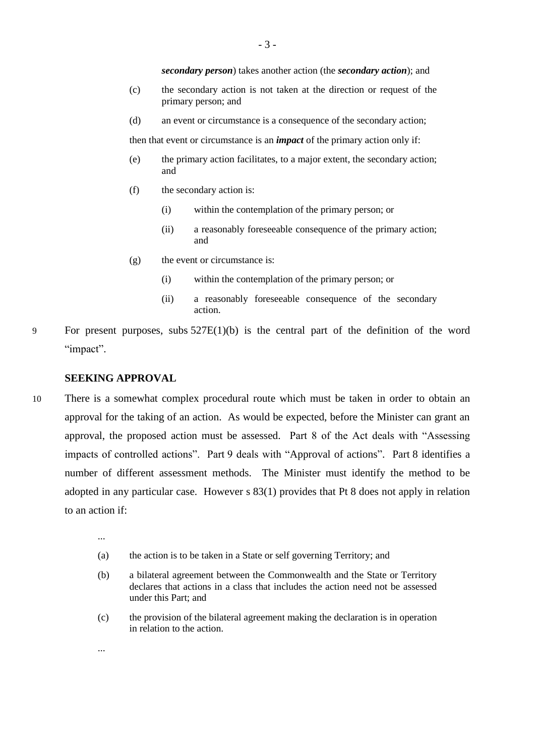*secondary person*) takes another action (the *secondary action*); and

- (c) the secondary action is not taken at the direction or request of the primary person; and
- (d) an event or circumstance is a consequence of the secondary action;

then that event or circumstance is an *impact* of the primary action only if:

- (e) the primary action facilitates, to a major extent, the secondary action; and
- (f) the secondary action is:
	- (i) within the contemplation of the primary person; or
	- (ii) a reasonably foreseeable consequence of the primary action; and
- (g) the event or circumstance is:
	- (i) within the contemplation of the primary person; or
	- (ii) a reasonably foreseeable consequence of the secondary action.
- 9 For present purposes, subs 527E(1)(b) is the central part of the definition of the word "impact".

#### **SEEKING APPROVAL**

- 10 There is a somewhat complex procedural route which must be taken in order to obtain an approval for the taking of an action. As would be expected, before the Minister can grant an approval, the proposed action must be assessed. Part 8 of the Act deals with "Assessing impacts of controlled actions". Part 9 deals with "Approval of actions". Part 8 identifies a number of different assessment methods. The Minister must identify the method to be adopted in any particular case. However s 83(1) provides that Pt 8 does not apply in relation to an action if:
	- ...

...

- (a) the action is to be taken in a State or self governing Territory; and
- (b) a bilateral agreement between the Commonwealth and the State or Territory declares that actions in a class that includes the action need not be assessed under this Part; and
- (c) the provision of the bilateral agreement making the declaration is in operation in relation to the action.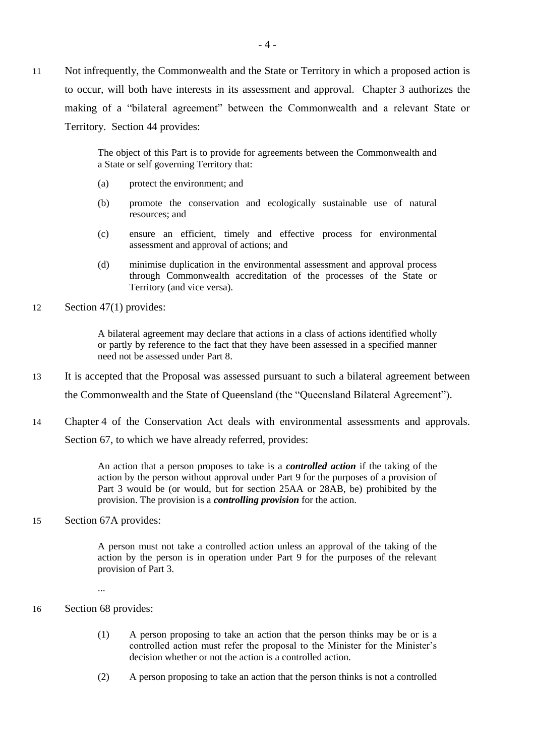11 Not infrequently, the Commonwealth and the State or Territory in which a proposed action is to occur, will both have interests in its assessment and approval. Chapter 3 authorizes the making of a "bilateral agreement" between the Commonwealth and a relevant State or Territory. Section 44 provides:

> The object of this Part is to provide for agreements between the Commonwealth and a State or self governing Territory that:

- (a) protect the environment; and
- (b) promote the conservation and ecologically sustainable use of natural resources; and
- (c) ensure an efficient, timely and effective process for environmental assessment and approval of actions; and
- (d) minimise duplication in the environmental assessment and approval process through Commonwealth accreditation of the processes of the State or Territory (and vice versa).
- 12 Section 47(1) provides:

A bilateral agreement may declare that actions in a class of actions identified wholly or partly by reference to the fact that they have been assessed in a specified manner need not be assessed under Part 8.

- 13 It is accepted that the Proposal was assessed pursuant to such a bilateral agreement between the Commonwealth and the State of Queensland (the "Queensland Bilateral Agreement").
- 14 Chapter 4 of the Conservation Act deals with environmental assessments and approvals. Section 67, to which we have already referred, provides:

An action that a person proposes to take is a *controlled action* if the taking of the action by the person without approval under Part 9 for the purposes of a provision of Part 3 would be (or would, but for section 25AA or 28AB, be) prohibited by the provision. The provision is a *controlling provision* for the action.

15 Section 67A provides:

A person must not take a controlled action unless an approval of the taking of the action by the person is in operation under Part 9 for the purposes of the relevant provision of Part 3.

- ...
- 16 Section 68 provides:
	- (1) A person proposing to take an action that the person thinks may be or is a controlled action must refer the proposal to the Minister for the Minister's decision whether or not the action is a controlled action.
	- (2) A person proposing to take an action that the person thinks is not a controlled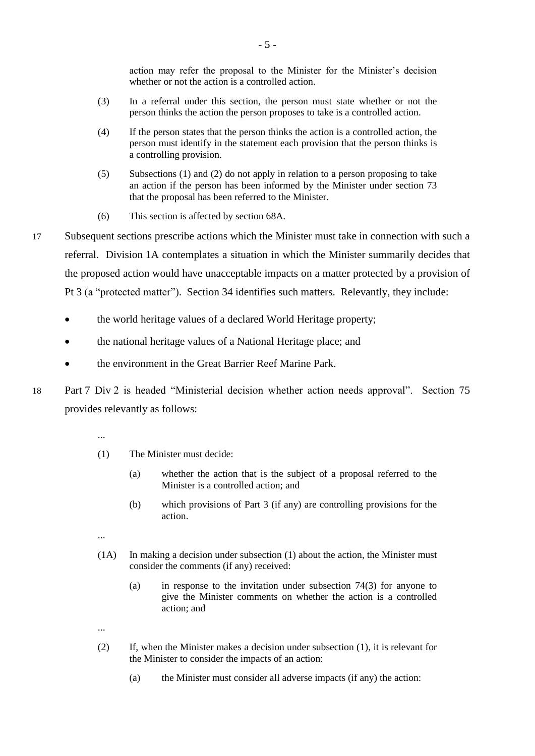action may refer the proposal to the Minister for the Minister's decision whether or not the action is a controlled action.

- (3) In a referral under this section, the person must state whether or not the person thinks the action the person proposes to take is a controlled action.
- (4) If the person states that the person thinks the action is a controlled action, the person must identify in the statement each provision that the person thinks is a controlling provision.
- (5) Subsections (1) and (2) do not apply in relation to a person proposing to take an action if the person has been informed by the Minister under section 73 that the proposal has been referred to the Minister.
- (6) This section is affected by section 68A.
- 17 Subsequent sections prescribe actions which the Minister must take in connection with such a referral. Division 1A contemplates a situation in which the Minister summarily decides that the proposed action would have unacceptable impacts on a matter protected by a provision of Pt 3 (a "protected matter"). Section 34 identifies such matters. Relevantly, they include:
	- the world heritage values of a declared World Heritage property;
	- the national heritage values of a National Heritage place; and
	- the environment in the Great Barrier Reef Marine Park.
- 18 Part 7 Div 2 is headed "Ministerial decision whether action needs approval". Section 75 provides relevantly as follows:
	- ...
	- (1) The Minister must decide:
		- (a) whether the action that is the subject of a proposal referred to the Minister is a controlled action; and
		- (b) which provisions of Part 3 (if any) are controlling provisions for the action.
	- ...
	- (1A) In making a decision under subsection (1) about the action, the Minister must consider the comments (if any) received:
		- (a) in response to the invitation under subsection 74(3) for anyone to give the Minister comments on whether the action is a controlled action; and
	- ...
	- (2) If, when the Minister makes a decision under subsection (1), it is relevant for the Minister to consider the impacts of an action:
		- (a) the Minister must consider all adverse impacts (if any) the action: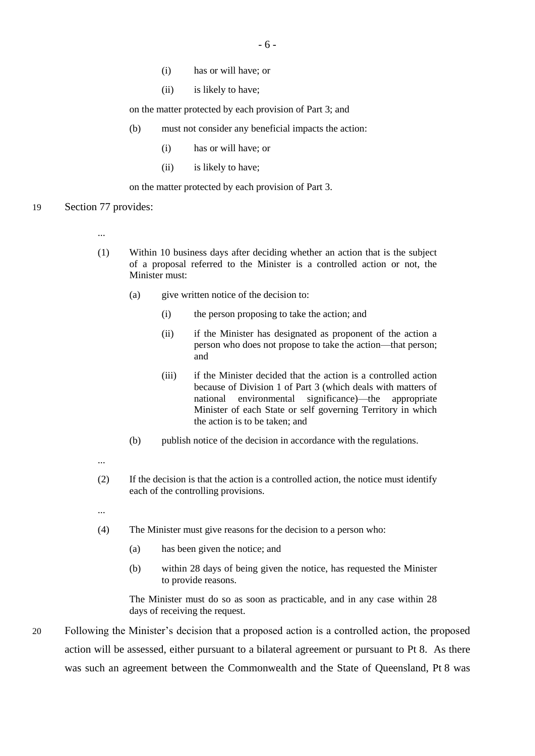- (i) has or will have; or
- (ii) is likely to have;

on the matter protected by each provision of Part 3; and

- (b) must not consider any beneficial impacts the action:
	- (i) has or will have; or
	- (ii) is likely to have;

on the matter protected by each provision of Part 3.

- 19 Section 77 provides:
	- ...
	- (1) Within 10 business days after deciding whether an action that is the subject of a proposal referred to the Minister is a controlled action or not, the Minister must:
		- (a) give written notice of the decision to:
			- (i) the person proposing to take the action; and
			- (ii) if the Minister has designated as proponent of the action a person who does not propose to take the action—that person; and
			- (iii) if the Minister decided that the action is a controlled action because of Division 1 of Part 3 (which deals with matters of national environmental significance)—the appropriate Minister of each State or self governing Territory in which the action is to be taken; and
		- (b) publish notice of the decision in accordance with the regulations.
	- ...
	- (2) If the decision is that the action is a controlled action, the notice must identify each of the controlling provisions.
	- ...
	- (4) The Minister must give reasons for the decision to a person who:
		- (a) has been given the notice; and
		- (b) within 28 days of being given the notice, has requested the Minister to provide reasons.

The Minister must do so as soon as practicable, and in any case within 28 days of receiving the request.

20 Following the Minister's decision that a proposed action is a controlled action, the proposed action will be assessed, either pursuant to a bilateral agreement or pursuant to Pt 8. As there was such an agreement between the Commonwealth and the State of Queensland, Pt 8 was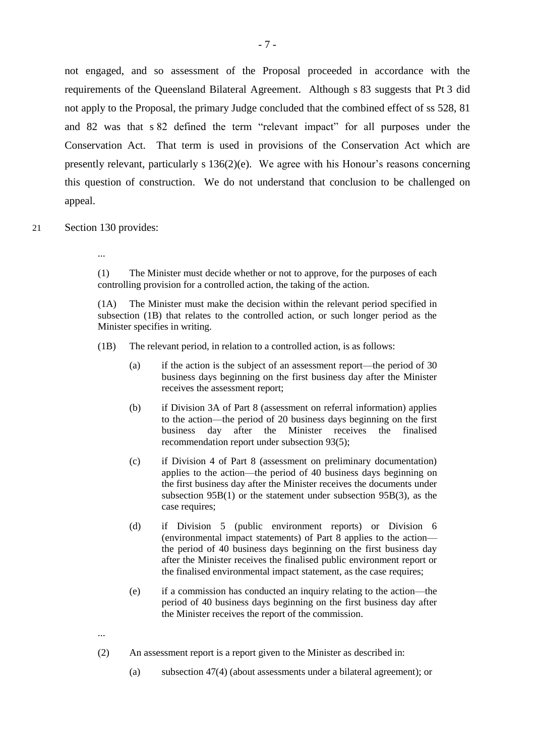not engaged, and so assessment of the Proposal proceeded in accordance with the requirements of the Queensland Bilateral Agreement. Although s 83 suggests that Pt 3 did not apply to the Proposal, the primary Judge concluded that the combined effect of ss 528, 81 and 82 was that s 82 defined the term "relevant impact" for all purposes under the Conservation Act. That term is used in provisions of the Conservation Act which are presently relevant, particularly s 136(2)(e). We agree with his Honour's reasons concerning this question of construction. We do not understand that conclusion to be challenged on appeal.

- 21 Section 130 provides:
	- ...

(1) The Minister must decide whether or not to approve, for the purposes of each controlling provision for a controlled action, the taking of the action.

(1A) The Minister must make the decision within the relevant period specified in subsection (1B) that relates to the controlled action, or such longer period as the Minister specifies in writing.

- (1B) The relevant period, in relation to a controlled action, is as follows:
	- (a) if the action is the subject of an assessment report—the period of 30 business days beginning on the first business day after the Minister receives the assessment report;
	- (b) if Division 3A of Part 8 (assessment on referral information) applies to the action—the period of 20 business days beginning on the first business day after the Minister receives the finalised recommendation report under subsection 93(5);
	- (c) if Division 4 of Part 8 (assessment on preliminary documentation) applies to the action—the period of 40 business days beginning on the first business day after the Minister receives the documents under subsection 95B(1) or the statement under subsection 95B(3), as the case requires;
	- (d) if Division 5 (public environment reports) or Division 6 (environmental impact statements) of Part 8 applies to the action the period of 40 business days beginning on the first business day after the Minister receives the finalised public environment report or the finalised environmental impact statement, as the case requires;
	- (e) if a commission has conducted an inquiry relating to the action—the period of 40 business days beginning on the first business day after the Minister receives the report of the commission.
- ...
- (2) An assessment report is a report given to the Minister as described in:
	- (a) subsection 47(4) (about assessments under a bilateral agreement); or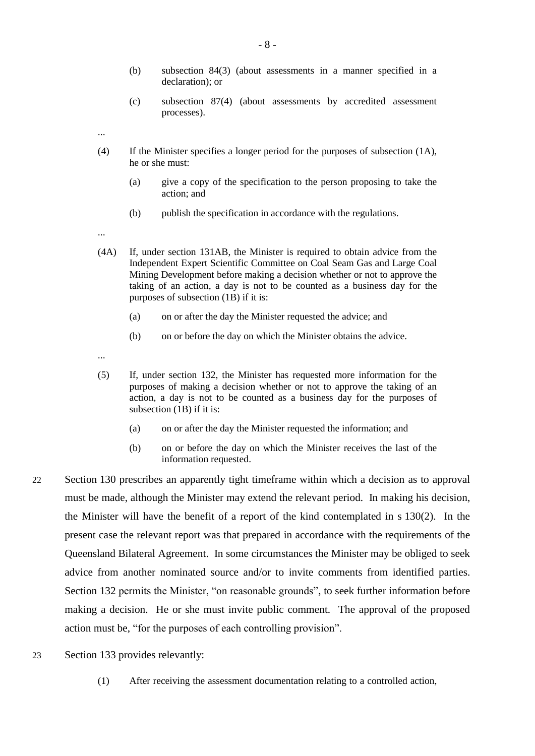- (b) subsection 84(3) (about assessments in a manner specified in a declaration); or
- (c) subsection 87(4) (about assessments by accredited assessment processes).
- ...
- (4) If the Minister specifies a longer period for the purposes of subsection (1A), he or she must:
	- (a) give a copy of the specification to the person proposing to take the action; and
	- (b) publish the specification in accordance with the regulations.
- ...
- (4A) If, under section 131AB, the Minister is required to obtain advice from the Independent Expert Scientific Committee on Coal Seam Gas and Large Coal Mining Development before making a decision whether or not to approve the taking of an action, a day is not to be counted as a business day for the purposes of subsection (1B) if it is:
	- (a) on or after the day the Minister requested the advice; and
	- (b) on or before the day on which the Minister obtains the advice.
- ...
- (5) If, under section 132, the Minister has requested more information for the purposes of making a decision whether or not to approve the taking of an action, a day is not to be counted as a business day for the purposes of subsection (1B) if it is:
	- (a) on or after the day the Minister requested the information; and
	- (b) on or before the day on which the Minister receives the last of the information requested.
- 22 Section 130 prescribes an apparently tight timeframe within which a decision as to approval must be made, although the Minister may extend the relevant period. In making his decision, the Minister will have the benefit of a report of the kind contemplated in s 130(2). In the present case the relevant report was that prepared in accordance with the requirements of the Queensland Bilateral Agreement. In some circumstances the Minister may be obliged to seek advice from another nominated source and/or to invite comments from identified parties. Section 132 permits the Minister, "on reasonable grounds", to seek further information before making a decision. He or she must invite public comment. The approval of the proposed action must be, "for the purposes of each controlling provision".
- 23 Section 133 provides relevantly:
	- (1) After receiving the assessment documentation relating to a controlled action,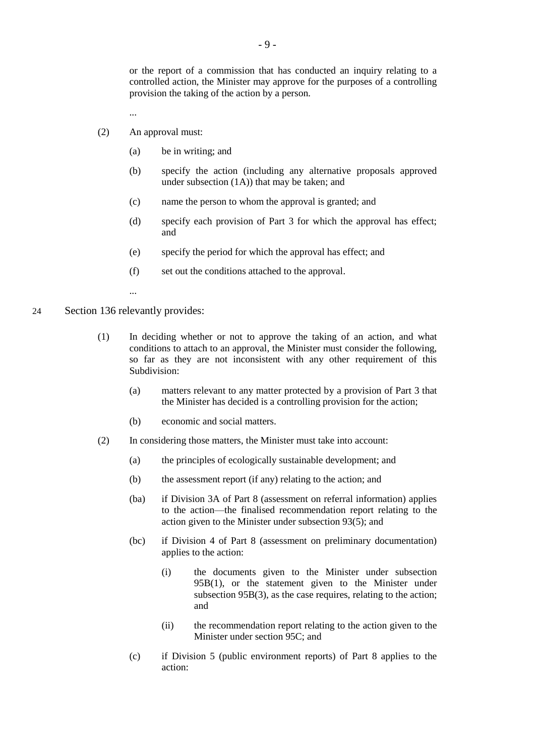or the report of a commission that has conducted an inquiry relating to a controlled action, the Minister may approve for the purposes of a controlling provision the taking of the action by a person.

- ...
- (2) An approval must:
	- (a) be in writing; and
	- (b) specify the action (including any alternative proposals approved under subsection (1A)) that may be taken; and
	- (c) name the person to whom the approval is granted; and
	- (d) specify each provision of Part 3 for which the approval has effect; and
	- (e) specify the period for which the approval has effect; and
	- (f) set out the conditions attached to the approval.
	- ...
- 24 Section 136 relevantly provides:
	- (1) In deciding whether or not to approve the taking of an action, and what conditions to attach to an approval, the Minister must consider the following, so far as they are not inconsistent with any other requirement of this Subdivision:
		- (a) matters relevant to any matter protected by a provision of Part 3 that the Minister has decided is a controlling provision for the action;
		- (b) economic and social matters.
	- (2) In considering those matters, the Minister must take into account:
		- (a) the principles of ecologically sustainable development; and
		- (b) the assessment report (if any) relating to the action; and
		- (ba) if Division 3A of Part 8 (assessment on referral information) applies to the action—the finalised recommendation report relating to the action given to the Minister under subsection 93(5); and
		- (bc) if Division 4 of Part 8 (assessment on preliminary documentation) applies to the action:
			- (i) the documents given to the Minister under subsection 95B(1), or the statement given to the Minister under subsection 95B(3), as the case requires, relating to the action; and
			- (ii) the recommendation report relating to the action given to the Minister under section 95C; and
		- (c) if Division 5 (public environment reports) of Part 8 applies to the action: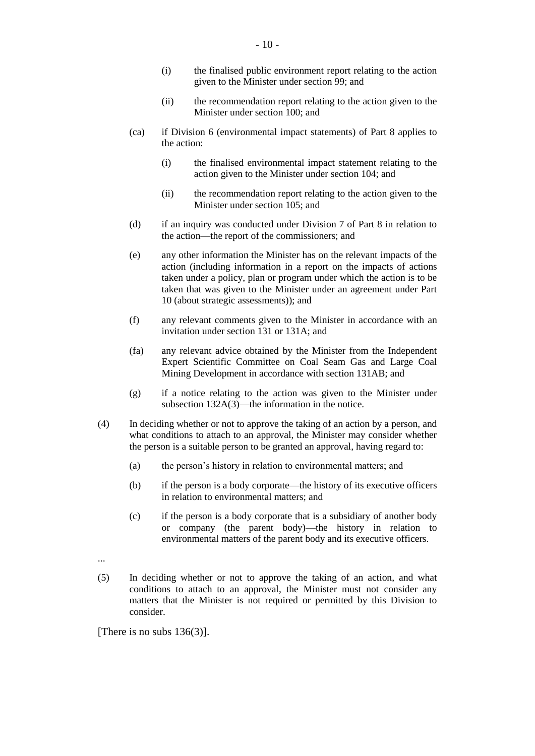- (i) the finalised public environment report relating to the action given to the Minister under section 99; and
- (ii) the recommendation report relating to the action given to the Minister under section 100; and
- (ca) if Division 6 (environmental impact statements) of Part 8 applies to the action:
	- (i) the finalised environmental impact statement relating to the action given to the Minister under section 104; and
	- (ii) the recommendation report relating to the action given to the Minister under section 105; and
- (d) if an inquiry was conducted under Division 7 of Part 8 in relation to the action—the report of the commissioners; and
- (e) any other information the Minister has on the relevant impacts of the action (including information in a report on the impacts of actions taken under a policy, plan or program under which the action is to be taken that was given to the Minister under an agreement under Part 10 (about strategic assessments)); and
- (f) any relevant comments given to the Minister in accordance with an invitation under section 131 or 131A; and
- (fa) any relevant advice obtained by the Minister from the Independent Expert Scientific Committee on Coal Seam Gas and Large Coal Mining Development in accordance with section 131AB; and
- (g) if a notice relating to the action was given to the Minister under subsection 132A(3)—the information in the notice.
- (4) In deciding whether or not to approve the taking of an action by a person, and what conditions to attach to an approval, the Minister may consider whether the person is a suitable person to be granted an approval, having regard to:
	- (a) the person's history in relation to environmental matters; and
	- (b) if the person is a body corporate—the history of its executive officers in relation to environmental matters; and
	- (c) if the person is a body corporate that is a subsidiary of another body or company (the parent body)—the history in relation to environmental matters of the parent body and its executive officers.
- ...
- (5) In deciding whether or not to approve the taking of an action, and what conditions to attach to an approval, the Minister must not consider any matters that the Minister is not required or permitted by this Division to consider.

[There is no subs  $136(3)$ ].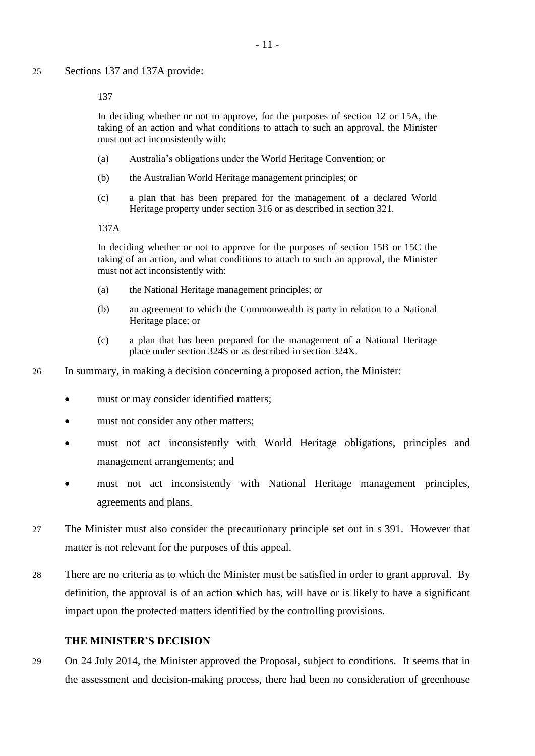137

In deciding whether or not to approve, for the purposes of section 12 or 15A, the taking of an action and what conditions to attach to such an approval, the Minister must not act inconsistently with:

- (a) Australia's obligations under the World Heritage Convention; or
- (b) the Australian World Heritage management principles; or
- (c) a plan that has been prepared for the management of a declared World Heritage property under section 316 or as described in section 321.

137A

In deciding whether or not to approve for the purposes of section 15B or 15C the taking of an action, and what conditions to attach to such an approval, the Minister must not act inconsistently with:

- (a) the National Heritage management principles; or
- (b) an agreement to which the Commonwealth is party in relation to a National Heritage place; or
- (c) a plan that has been prepared for the management of a National Heritage place under section 324S or as described in section 324X.
- 26 In summary, in making a decision concerning a proposed action, the Minister:
	- must or may consider identified matters;
	- must not consider any other matters;
	- must not act inconsistently with World Heritage obligations, principles and management arrangements; and
	- must not act inconsistently with National Heritage management principles, agreements and plans.
- 27 The Minister must also consider the precautionary principle set out in s 391. However that matter is not relevant for the purposes of this appeal.
- 28 There are no criteria as to which the Minister must be satisfied in order to grant approval. By definition, the approval is of an action which has, will have or is likely to have a significant impact upon the protected matters identified by the controlling provisions.

#### **THE MINISTER'S DECISION**

29 On 24 July 2014, the Minister approved the Proposal, subject to conditions. It seems that in the assessment and decision-making process, there had been no consideration of greenhouse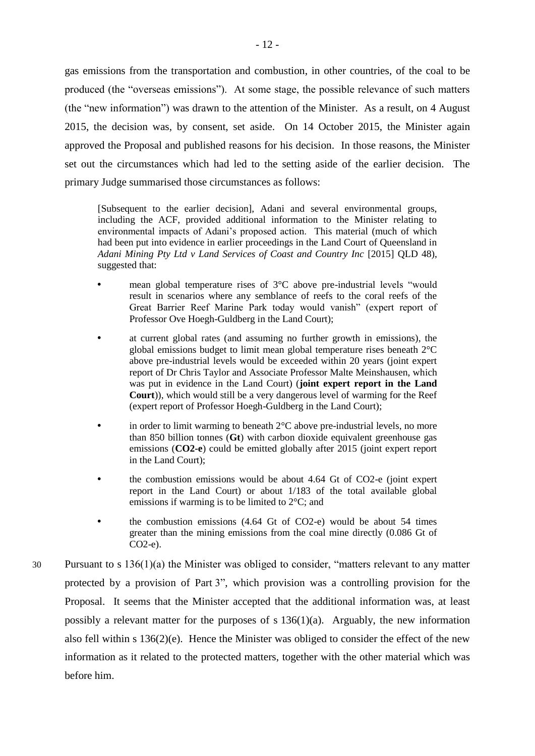gas emissions from the transportation and combustion, in other countries, of the coal to be produced (the "overseas emissions"). At some stage, the possible relevance of such matters (the "new information") was drawn to the attention of the Minister. As a result, on 4 August 2015, the decision was, by consent, set aside. On 14 October 2015, the Minister again approved the Proposal and published reasons for his decision. In those reasons, the Minister set out the circumstances which had led to the setting aside of the earlier decision. The primary Judge summarised those circumstances as follows:

[Subsequent to the earlier decision], Adani and several environmental groups, including the ACF, provided additional information to the Minister relating to environmental impacts of Adani's proposed action. This material (much of which had been put into evidence in earlier proceedings in the Land Court of Queensland in *Adani Mining Pty Ltd v Land Services of Coast and Country Inc* [2015] QLD 48), suggested that:

- mean global temperature rises of 3°C above pre-industrial levels "would result in scenarios where any semblance of reefs to the coral reefs of the Great Barrier Reef Marine Park today would vanish" (expert report of Professor Ove Hoegh-Guldberg in the Land Court);
- at current global rates (and assuming no further growth in emissions), the global emissions budget to limit mean global temperature rises beneath 2°C above pre-industrial levels would be exceeded within 20 years (joint expert report of Dr Chris Taylor and Associate Professor Malte Meinshausen, which was put in evidence in the Land Court) (**joint expert report in the Land Court**)), which would still be a very dangerous level of warming for the Reef (expert report of Professor Hoegh-Guldberg in the Land Court);
- in order to limit warming to beneath 2°C above pre-industrial levels, no more than 850 billion tonnes (**Gt**) with carbon dioxide equivalent greenhouse gas emissions (**CO2-e**) could be emitted globally after 2015 (joint expert report in the Land Court);
- the combustion emissions would be about 4.64 Gt of CO2-e (joint expert report in the Land Court) or about 1/183 of the total available global emissions if warming is to be limited to 2°C; and
- the combustion emissions (4.64 Gt of CO2-e) would be about 54 times greater than the mining emissions from the coal mine directly (0.086 Gt of CO2-e).
- 30 Pursuant to s 136(1)(a) the Minister was obliged to consider, "matters relevant to any matter protected by a provision of Part 3", which provision was a controlling provision for the Proposal. It seems that the Minister accepted that the additional information was, at least possibly a relevant matter for the purposes of s  $136(1)(a)$ . Arguably, the new information also fell within s 136(2)(e). Hence the Minister was obliged to consider the effect of the new information as it related to the protected matters, together with the other material which was before him.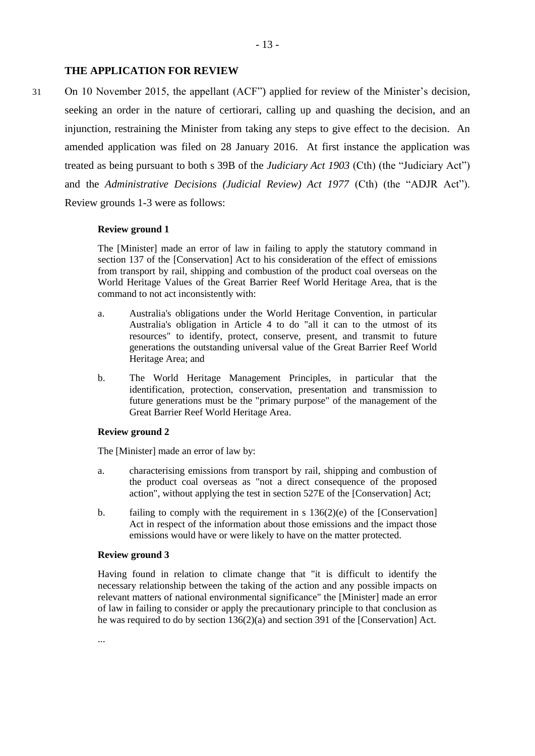#### **THE APPLICATION FOR REVIEW**

31 On 10 November 2015, the appellant (ACF") applied for review of the Minister's decision, seeking an order in the nature of certiorari, calling up and quashing the decision, and an injunction, restraining the Minister from taking any steps to give effect to the decision. An amended application was filed on 28 January 2016. At first instance the application was treated as being pursuant to both s 39B of the *Judiciary Act 1903* (Cth) (the "Judiciary Act") and the *Administrative Decisions (Judicial Review) Act 1977* (Cth) (the "ADJR Act"). Review grounds 1-3 were as follows:

#### **Review ground 1**

The [Minister] made an error of law in failing to apply the statutory command in section 137 of the [Conservation] Act to his consideration of the effect of emissions from transport by rail, shipping and combustion of the product coal overseas on the World Heritage Values of the Great Barrier Reef World Heritage Area, that is the command to not act inconsistently with:

- a. Australia's obligations under the World Heritage Convention, in particular Australia's obligation in Article 4 to do "all it can to the utmost of its resources" to identify, protect, conserve, present, and transmit to future generations the outstanding universal value of the Great Barrier Reef World Heritage Area; and
- b. The World Heritage Management Principles, in particular that the identification, protection, conservation, presentation and transmission to future generations must be the "primary purpose" of the management of the Great Barrier Reef World Heritage Area.

#### **Review ground 2**

The [Minister] made an error of law by:

- a. characterising emissions from transport by rail, shipping and combustion of the product coal overseas as "not a direct consequence of the proposed action", without applying the test in section 527E of the [Conservation] Act;
- b. failing to comply with the requirement in s 136(2)(e) of the [Conservation] Act in respect of the information about those emissions and the impact those emissions would have or were likely to have on the matter protected.

#### **Review ground 3**

Having found in relation to climate change that "it is difficult to identify the necessary relationship between the taking of the action and any possible impacts on relevant matters of national environmental significance" the [Minister] made an error of law in failing to consider or apply the precautionary principle to that conclusion as he was required to do by section 136(2)(a) and section 391 of the [Conservation] Act.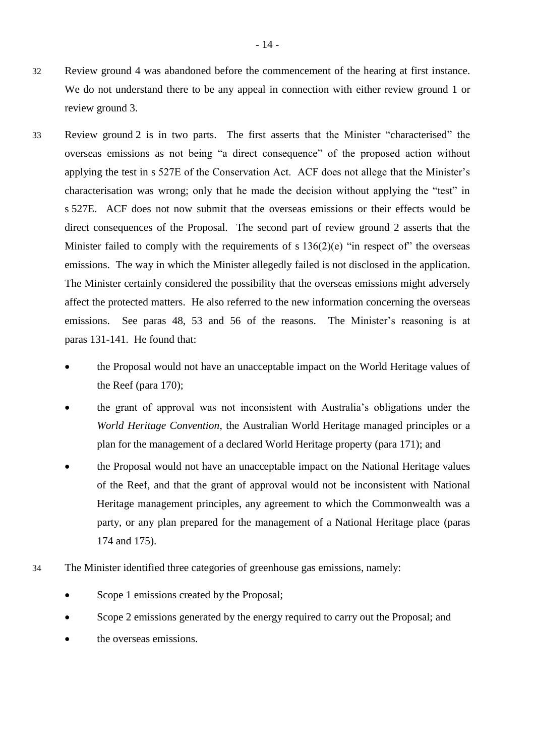- 32 Review ground 4 was abandoned before the commencement of the hearing at first instance. We do not understand there to be any appeal in connection with either review ground 1 or review ground 3.
- 33 Review ground 2 is in two parts. The first asserts that the Minister "characterised" the overseas emissions as not being "a direct consequence" of the proposed action without applying the test in s 527E of the Conservation Act. ACF does not allege that the Minister's characterisation was wrong; only that he made the decision without applying the "test" in s 527E. ACF does not now submit that the overseas emissions or their effects would be direct consequences of the Proposal. The second part of review ground 2 asserts that the Minister failed to comply with the requirements of s  $136(2)(e)$  "in respect of" the overseas emissions. The way in which the Minister allegedly failed is not disclosed in the application. The Minister certainly considered the possibility that the overseas emissions might adversely affect the protected matters. He also referred to the new information concerning the overseas emissions. See paras 48, 53 and 56 of the reasons. The Minister's reasoning is at paras 131-141. He found that:
	- the Proposal would not have an unacceptable impact on the World Heritage values of the Reef (para 170);
	- the grant of approval was not inconsistent with Australia's obligations under the *World Heritage Convention*, the Australian World Heritage managed principles or a plan for the management of a declared World Heritage property (para 171); and
	- the Proposal would not have an unacceptable impact on the National Heritage values of the Reef, and that the grant of approval would not be inconsistent with National Heritage management principles, any agreement to which the Commonwealth was a party, or any plan prepared for the management of a National Heritage place (paras 174 and 175).
- 34 The Minister identified three categories of greenhouse gas emissions, namely:
	- Scope 1 emissions created by the Proposal;
	- Scope 2 emissions generated by the energy required to carry out the Proposal; and
	- the overseas emissions.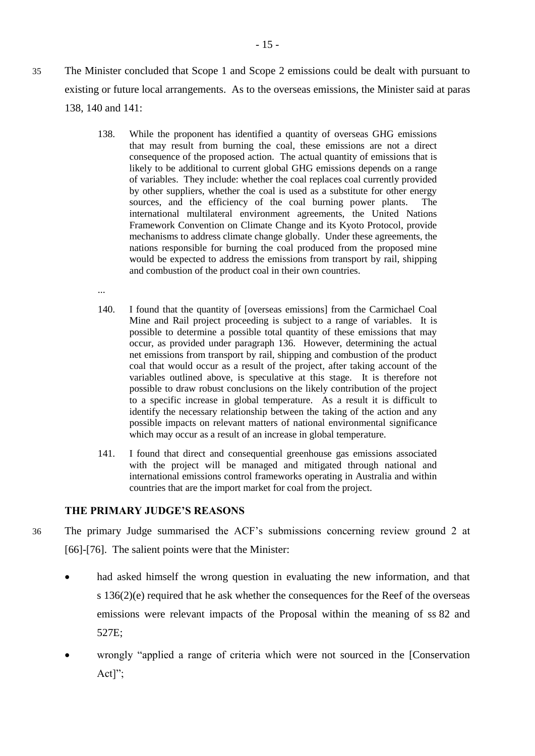- 35 The Minister concluded that Scope 1 and Scope 2 emissions could be dealt with pursuant to existing or future local arrangements. As to the overseas emissions, the Minister said at paras 138, 140 and 141:
	- 138. While the proponent has identified a quantity of overseas GHG emissions that may result from burning the coal, these emissions are not a direct consequence of the proposed action. The actual quantity of emissions that is likely to be additional to current global GHG emissions depends on a range of variables. They include: whether the coal replaces coal currently provided by other suppliers, whether the coal is used as a substitute for other energy sources, and the efficiency of the coal burning power plants. The international multilateral environment agreements, the United Nations Framework Convention on Climate Change and its Kyoto Protocol, provide mechanisms to address climate change globally. Under these agreements, the nations responsible for burning the coal produced from the proposed mine would be expected to address the emissions from transport by rail, shipping and combustion of the product coal in their own countries.
	- ...
	- 140. I found that the quantity of [overseas emissions] from the Carmichael Coal Mine and Rail project proceeding is subject to a range of variables. It is possible to determine a possible total quantity of these emissions that may occur, as provided under paragraph 136. However, determining the actual net emissions from transport by rail, shipping and combustion of the product coal that would occur as a result of the project, after taking account of the variables outlined above, is speculative at this stage. It is therefore not possible to draw robust conclusions on the likely contribution of the project to a specific increase in global temperature. As a result it is difficult to identify the necessary relationship between the taking of the action and any possible impacts on relevant matters of national environmental significance which may occur as a result of an increase in global temperature.
	- 141. I found that direct and consequential greenhouse gas emissions associated with the project will be managed and mitigated through national and international emissions control frameworks operating in Australia and within countries that are the import market for coal from the project.

## **THE PRIMARY JUDGE'S REASONS**

- 36 The primary Judge summarised the ACF's submissions concerning review ground 2 at [66]-[76]. The salient points were that the Minister:
	- had asked himself the wrong question in evaluating the new information, and that s 136(2)(e) required that he ask whether the consequences for the Reef of the overseas emissions were relevant impacts of the Proposal within the meaning of ss 82 and 527E;
	- wrongly "applied a range of criteria which were not sourced in the [Conservation Act]";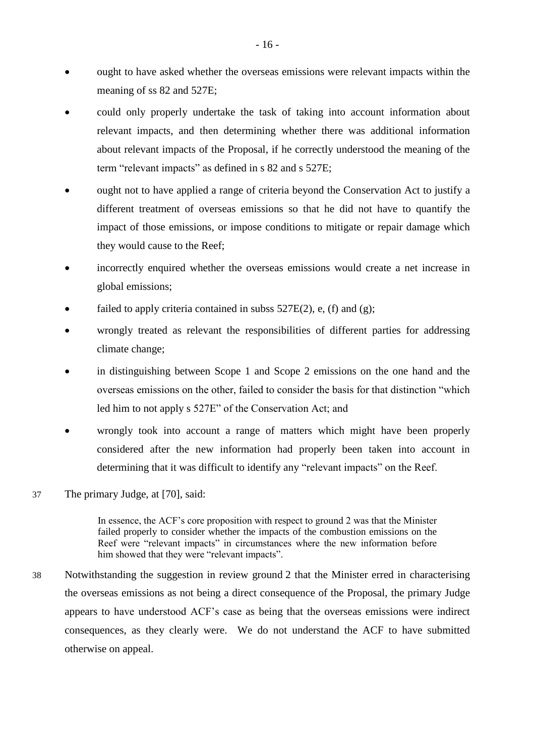- ought to have asked whether the overseas emissions were relevant impacts within the meaning of ss 82 and 527E;
- could only properly undertake the task of taking into account information about relevant impacts, and then determining whether there was additional information about relevant impacts of the Proposal, if he correctly understood the meaning of the term "relevant impacts" as defined in s 82 and s 527E;
- ought not to have applied a range of criteria beyond the Conservation Act to justify a different treatment of overseas emissions so that he did not have to quantify the impact of those emissions, or impose conditions to mitigate or repair damage which they would cause to the Reef;
- incorrectly enquired whether the overseas emissions would create a net increase in global emissions;
- failed to apply criteria contained in subss  $527E(2)$ , e, (f) and (g);
- wrongly treated as relevant the responsibilities of different parties for addressing climate change;
- in distinguishing between Scope 1 and Scope 2 emissions on the one hand and the overseas emissions on the other, failed to consider the basis for that distinction "which led him to not apply s 527E" of the Conservation Act; and
- wrongly took into account a range of matters which might have been properly considered after the new information had properly been taken into account in determining that it was difficult to identify any "relevant impacts" on the Reef.
- 37 The primary Judge, at [70], said:

In essence, the ACF's core proposition with respect to ground 2 was that the Minister failed properly to consider whether the impacts of the combustion emissions on the Reef were "relevant impacts" in circumstances where the new information before him showed that they were "relevant impacts".

38 Notwithstanding the suggestion in review ground 2 that the Minister erred in characterising the overseas emissions as not being a direct consequence of the Proposal, the primary Judge appears to have understood ACF's case as being that the overseas emissions were indirect consequences, as they clearly were. We do not understand the ACF to have submitted otherwise on appeal.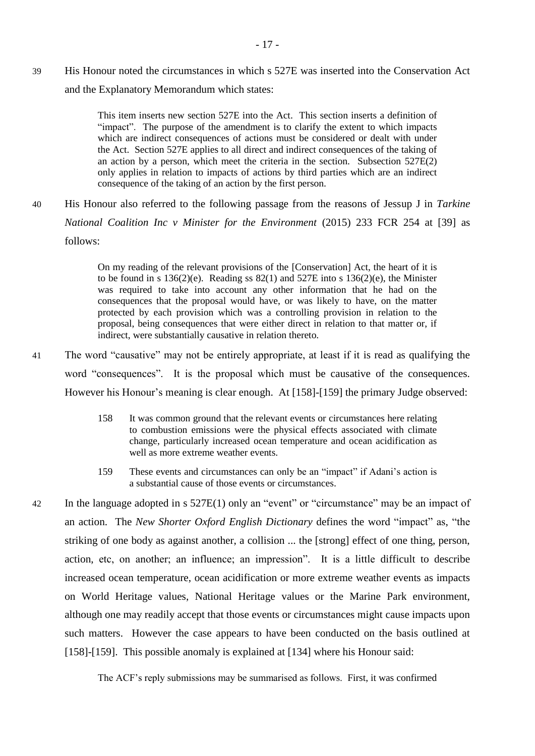39 His Honour noted the circumstances in which s 527E was inserted into the Conservation Act and the Explanatory Memorandum which states:

> This item inserts new section 527E into the Act. This section inserts a definition of "impact". The purpose of the amendment is to clarify the extent to which impacts which are indirect consequences of actions must be considered or dealt with under the Act. Section 527E applies to all direct and indirect consequences of the taking of an action by a person, which meet the criteria in the section. Subsection  $527E(2)$ only applies in relation to impacts of actions by third parties which are an indirect consequence of the taking of an action by the first person.

40 His Honour also referred to the following passage from the reasons of Jessup J in *Tarkine National Coalition Inc v Minister for the Environment* (2015) 233 FCR 254 at [39] as follows:

> On my reading of the relevant provisions of the [Conservation] Act, the heart of it is to be found in s  $136(2)(e)$ . Reading ss  $82(1)$  and  $527E$  into s  $136(2)(e)$ , the Minister was required to take into account any other information that he had on the consequences that the proposal would have, or was likely to have, on the matter protected by each provision which was a controlling provision in relation to the proposal, being consequences that were either direct in relation to that matter or, if indirect, were substantially causative in relation thereto.

- 41 The word "causative" may not be entirely appropriate, at least if it is read as qualifying the word "consequences". It is the proposal which must be causative of the consequences. However his Honour's meaning is clear enough. At [158]-[159] the primary Judge observed:
	- 158 It was common ground that the relevant events or circumstances here relating to combustion emissions were the physical effects associated with climate change, particularly increased ocean temperature and ocean acidification as well as more extreme weather events.
	- 159 These events and circumstances can only be an "impact" if Adani's action is a substantial cause of those events or circumstances.
- 42 In the language adopted in s 527E(1) only an "event" or "circumstance" may be an impact of an action. The *New Shorter Oxford English Dictionary* defines the word "impact" as, "the striking of one body as against another, a collision ... the [strong] effect of one thing, person, action, etc, on another; an influence; an impression". It is a little difficult to describe increased ocean temperature, ocean acidification or more extreme weather events as impacts on World Heritage values, National Heritage values or the Marine Park environment, although one may readily accept that those events or circumstances might cause impacts upon such matters. However the case appears to have been conducted on the basis outlined at [158]-[159]. This possible anomaly is explained at [134] where his Honour said:

The ACF's reply submissions may be summarised as follows. First, it was confirmed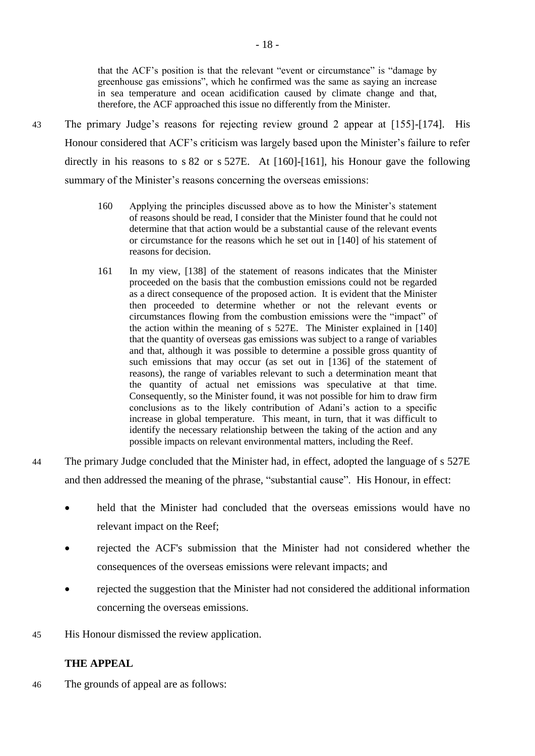that the ACF's position is that the relevant "event or circumstance" is "damage by greenhouse gas emissions", which he confirmed was the same as saying an increase in sea temperature and ocean acidification caused by climate change and that, therefore, the ACF approached this issue no differently from the Minister.

- 43 The primary Judge's reasons for rejecting review ground 2 appear at [155]-[174]. His Honour considered that ACF's criticism was largely based upon the Minister's failure to refer directly in his reasons to s 82 or s 527E. At [160]-[161], his Honour gave the following summary of the Minister's reasons concerning the overseas emissions:
	- 160 Applying the principles discussed above as to how the Minister's statement of reasons should be read, I consider that the Minister found that he could not determine that that action would be a substantial cause of the relevant events or circumstance for the reasons which he set out in [140] of his statement of reasons for decision.
	- 161 In my view, [138] of the statement of reasons indicates that the Minister proceeded on the basis that the combustion emissions could not be regarded as a direct consequence of the proposed action. It is evident that the Minister then proceeded to determine whether or not the relevant events or circumstances flowing from the combustion emissions were the "impact" of the action within the meaning of s 527E. The Minister explained in [140] that the quantity of overseas gas emissions was subject to a range of variables and that, although it was possible to determine a possible gross quantity of such emissions that may occur (as set out in [136] of the statement of reasons), the range of variables relevant to such a determination meant that the quantity of actual net emissions was speculative at that time. Consequently, so the Minister found, it was not possible for him to draw firm conclusions as to the likely contribution of Adani's action to a specific increase in global temperature. This meant, in turn, that it was difficult to identify the necessary relationship between the taking of the action and any possible impacts on relevant environmental matters, including the Reef.
- 44 The primary Judge concluded that the Minister had, in effect, adopted the language of s 527E and then addressed the meaning of the phrase, "substantial cause". His Honour, in effect:
	- held that the Minister had concluded that the overseas emissions would have no relevant impact on the Reef;
	- rejected the ACF's submission that the Minister had not considered whether the consequences of the overseas emissions were relevant impacts; and
	- rejected the suggestion that the Minister had not considered the additional information concerning the overseas emissions.
- 45 His Honour dismissed the review application.

## **THE APPEAL**

46 The grounds of appeal are as follows: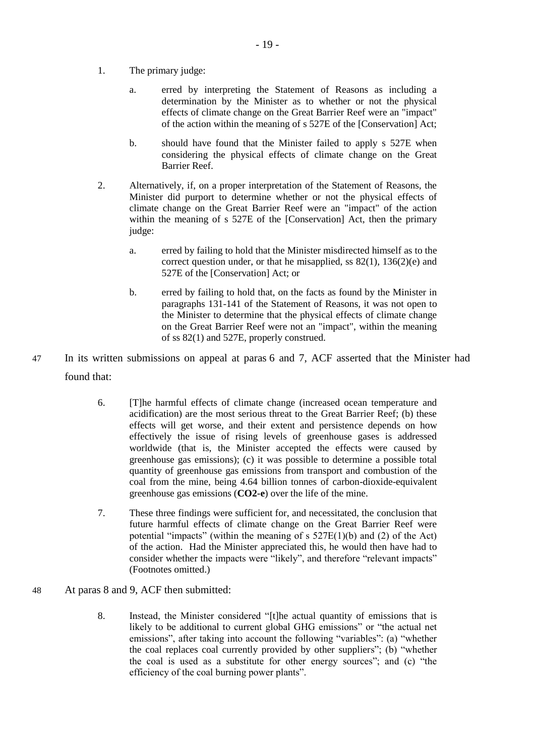- 1. The primary judge:
	- a. erred by interpreting the Statement of Reasons as including a determination by the Minister as to whether or not the physical effects of climate change on the Great Barrier Reef were an "impact" of the action within the meaning of s 527E of the [Conservation] Act;
	- b. should have found that the Minister failed to apply s 527E when considering the physical effects of climate change on the Great Barrier Reef.
- 2. Alternatively, if, on a proper interpretation of the Statement of Reasons, the Minister did purport to determine whether or not the physical effects of climate change on the Great Barrier Reef were an "impact" of the action within the meaning of s 527E of the [Conservation] Act, then the primary judge:
	- a. erred by failing to hold that the Minister misdirected himself as to the correct question under, or that he misapplied, ss  $82(1)$ ,  $136(2)(e)$  and 527E of the [Conservation] Act; or
	- b. erred by failing to hold that, on the facts as found by the Minister in paragraphs 131-141 of the Statement of Reasons, it was not open to the Minister to determine that the physical effects of climate change on the Great Barrier Reef were not an "impact", within the meaning of ss 82(1) and 527E, properly construed.
- 47 In its written submissions on appeal at paras 6 and 7, ACF asserted that the Minister had found that:
	- 6. [T]he harmful effects of climate change (increased ocean temperature and acidification) are the most serious threat to the Great Barrier Reef; (b) these effects will get worse, and their extent and persistence depends on how effectively the issue of rising levels of greenhouse gases is addressed worldwide (that is, the Minister accepted the effects were caused by greenhouse gas emissions); (c) it was possible to determine a possible total quantity of greenhouse gas emissions from transport and combustion of the coal from the mine, being 4.64 billion tonnes of carbon-dioxide-equivalent greenhouse gas emissions (**CO2-e**) over the life of the mine.
	- 7. These three findings were sufficient for, and necessitated, the conclusion that future harmful effects of climate change on the Great Barrier Reef were potential "impacts" (within the meaning of s  $527E(1)(b)$  and (2) of the Act) of the action. Had the Minister appreciated this, he would then have had to consider whether the impacts were "likely", and therefore "relevant impacts" (Footnotes omitted.)
- 48 At paras 8 and 9, ACF then submitted:
	- 8. Instead, the Minister considered "[t]he actual quantity of emissions that is likely to be additional to current global GHG emissions" or "the actual net emissions", after taking into account the following "variables": (a) "whether the coal replaces coal currently provided by other suppliers"; (b) "whether the coal is used as a substitute for other energy sources"; and (c) "the efficiency of the coal burning power plants".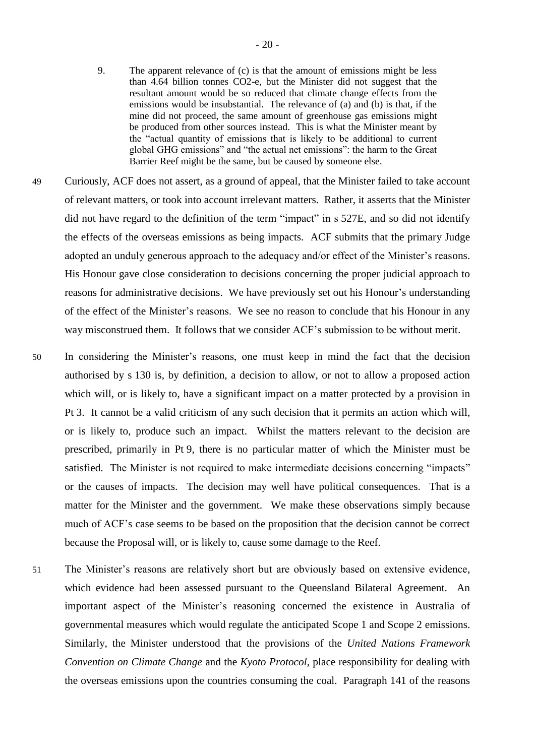- 9. The apparent relevance of (c) is that the amount of emissions might be less than 4.64 billion tonnes CO2-e, but the Minister did not suggest that the resultant amount would be so reduced that climate change effects from the emissions would be insubstantial. The relevance of (a) and (b) is that, if the mine did not proceed, the same amount of greenhouse gas emissions might be produced from other sources instead. This is what the Minister meant by the "actual quantity of emissions that is likely to be additional to current global GHG emissions" and "the actual net emissions": the harm to the Great Barrier Reef might be the same, but be caused by someone else.
- 49 Curiously, ACF does not assert, as a ground of appeal, that the Minister failed to take account of relevant matters, or took into account irrelevant matters. Rather, it asserts that the Minister did not have regard to the definition of the term "impact" in s 527E, and so did not identify the effects of the overseas emissions as being impacts. ACF submits that the primary Judge adopted an unduly generous approach to the adequacy and/or effect of the Minister's reasons. His Honour gave close consideration to decisions concerning the proper judicial approach to reasons for administrative decisions. We have previously set out his Honour's understanding of the effect of the Minister's reasons. We see no reason to conclude that his Honour in any way misconstrued them. It follows that we consider ACF's submission to be without merit.
- 50 In considering the Minister's reasons, one must keep in mind the fact that the decision authorised by s 130 is, by definition, a decision to allow, or not to allow a proposed action which will, or is likely to, have a significant impact on a matter protected by a provision in Pt 3. It cannot be a valid criticism of any such decision that it permits an action which will, or is likely to, produce such an impact. Whilst the matters relevant to the decision are prescribed, primarily in Pt 9, there is no particular matter of which the Minister must be satisfied. The Minister is not required to make intermediate decisions concerning "impacts" or the causes of impacts. The decision may well have political consequences. That is a matter for the Minister and the government. We make these observations simply because much of ACF's case seems to be based on the proposition that the decision cannot be correct because the Proposal will, or is likely to, cause some damage to the Reef.
- 51 The Minister's reasons are relatively short but are obviously based on extensive evidence, which evidence had been assessed pursuant to the Queensland Bilateral Agreement. An important aspect of the Minister's reasoning concerned the existence in Australia of governmental measures which would regulate the anticipated Scope 1 and Scope 2 emissions. Similarly, the Minister understood that the provisions of the *United Nations Framework Convention on Climate Change* and the *Kyoto Protocol*, place responsibility for dealing with the overseas emissions upon the countries consuming the coal. Paragraph 141 of the reasons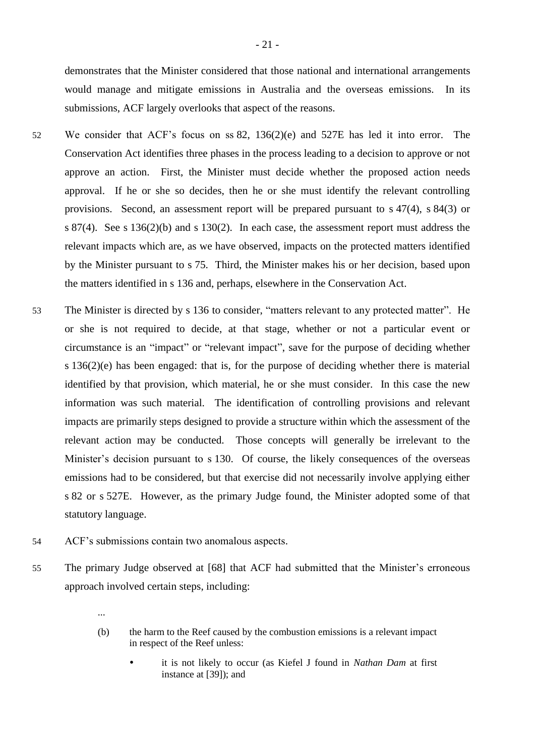demonstrates that the Minister considered that those national and international arrangements would manage and mitigate emissions in Australia and the overseas emissions. In its submissions, ACF largely overlooks that aspect of the reasons.

- 52 We consider that ACF's focus on ss 82, 136(2)(e) and 527E has led it into error. The Conservation Act identifies three phases in the process leading to a decision to approve or not approve an action. First, the Minister must decide whether the proposed action needs approval. If he or she so decides, then he or she must identify the relevant controlling provisions. Second, an assessment report will be prepared pursuant to s 47(4), s 84(3) or s 87(4). See s 136(2)(b) and s 130(2). In each case, the assessment report must address the relevant impacts which are, as we have observed, impacts on the protected matters identified by the Minister pursuant to s 75. Third, the Minister makes his or her decision, based upon the matters identified in s 136 and, perhaps, elsewhere in the Conservation Act.
- 53 The Minister is directed by s 136 to consider, "matters relevant to any protected matter". He or she is not required to decide, at that stage, whether or not a particular event or circumstance is an "impact" or "relevant impact", save for the purpose of deciding whether s 136(2)(e) has been engaged: that is, for the purpose of deciding whether there is material identified by that provision, which material, he or she must consider. In this case the new information was such material. The identification of controlling provisions and relevant impacts are primarily steps designed to provide a structure within which the assessment of the relevant action may be conducted. Those concepts will generally be irrelevant to the Minister's decision pursuant to s 130. Of course, the likely consequences of the overseas emissions had to be considered, but that exercise did not necessarily involve applying either s 82 or s 527E. However, as the primary Judge found, the Minister adopted some of that statutory language.
- 54 ACF's submissions contain two anomalous aspects.
- 55 The primary Judge observed at [68] that ACF had submitted that the Minister's erroneous approach involved certain steps, including:
	- ...
	- (b) the harm to the Reef caused by the combustion emissions is a relevant impact in respect of the Reef unless:
		- it is not likely to occur (as Kiefel J found in *Nathan Dam* at first instance at [39]); and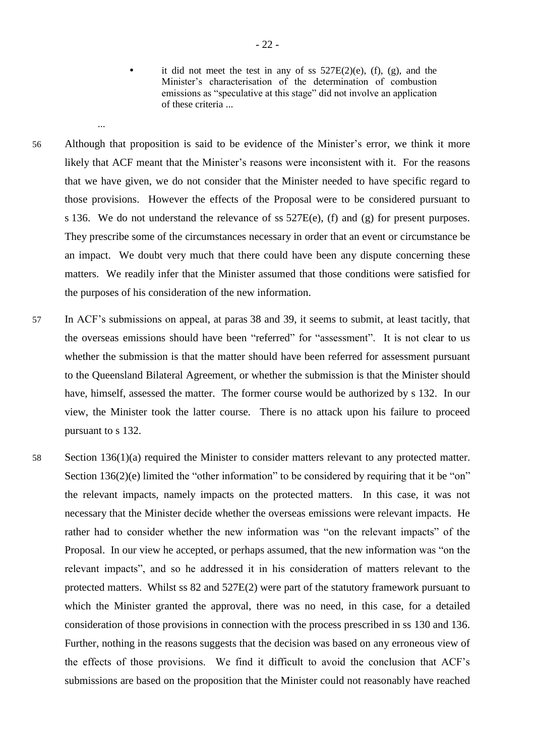...

it did not meet the test in any of ss  $527E(2)(e)$ , (f), (g), and the Minister's characterisation of the determination of combustion emissions as "speculative at this stage" did not involve an application of these criteria ...

- 56 Although that proposition is said to be evidence of the Minister's error, we think it more likely that ACF meant that the Minister's reasons were inconsistent with it. For the reasons that we have given, we do not consider that the Minister needed to have specific regard to those provisions. However the effects of the Proposal were to be considered pursuant to s 136. We do not understand the relevance of ss 527E(e), (f) and (g) for present purposes. They prescribe some of the circumstances necessary in order that an event or circumstance be an impact. We doubt very much that there could have been any dispute concerning these matters. We readily infer that the Minister assumed that those conditions were satisfied for the purposes of his consideration of the new information.
- 57 In ACF's submissions on appeal, at paras 38 and 39, it seems to submit, at least tacitly, that the overseas emissions should have been "referred" for "assessment". It is not clear to us whether the submission is that the matter should have been referred for assessment pursuant to the Queensland Bilateral Agreement, or whether the submission is that the Minister should have, himself, assessed the matter. The former course would be authorized by s 132. In our view, the Minister took the latter course. There is no attack upon his failure to proceed pursuant to s 132.
- 58 Section 136(1)(a) required the Minister to consider matters relevant to any protected matter. Section 136(2)(e) limited the "other information" to be considered by requiring that it be "on" the relevant impacts, namely impacts on the protected matters. In this case, it was not necessary that the Minister decide whether the overseas emissions were relevant impacts. He rather had to consider whether the new information was "on the relevant impacts" of the Proposal. In our view he accepted, or perhaps assumed, that the new information was "on the relevant impacts", and so he addressed it in his consideration of matters relevant to the protected matters. Whilst ss 82 and 527E(2) were part of the statutory framework pursuant to which the Minister granted the approval, there was no need, in this case, for a detailed consideration of those provisions in connection with the process prescribed in ss 130 and 136. Further, nothing in the reasons suggests that the decision was based on any erroneous view of the effects of those provisions. We find it difficult to avoid the conclusion that ACF's submissions are based on the proposition that the Minister could not reasonably have reached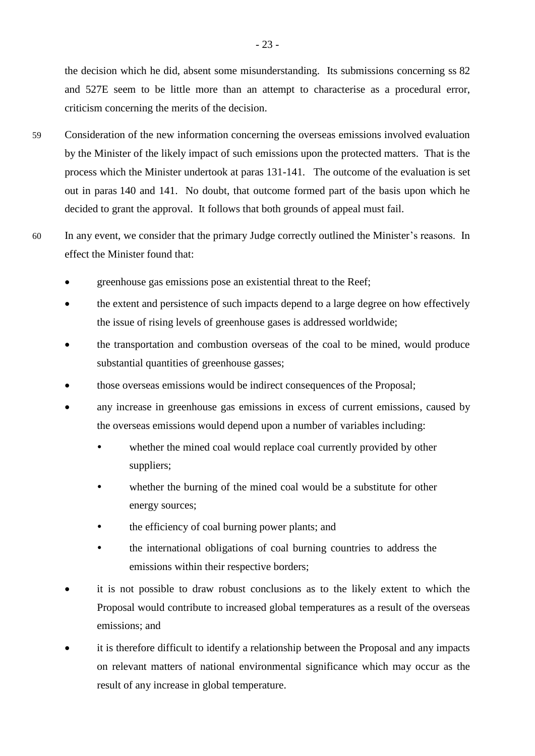the decision which he did, absent some misunderstanding. Its submissions concerning ss 82 and 527E seem to be little more than an attempt to characterise as a procedural error, criticism concerning the merits of the decision.

- 59 Consideration of the new information concerning the overseas emissions involved evaluation by the Minister of the likely impact of such emissions upon the protected matters. That is the process which the Minister undertook at paras 131-141. The outcome of the evaluation is set out in paras 140 and 141. No doubt, that outcome formed part of the basis upon which he decided to grant the approval. It follows that both grounds of appeal must fail.
- 60 In any event, we consider that the primary Judge correctly outlined the Minister's reasons. In effect the Minister found that:
	- greenhouse gas emissions pose an existential threat to the Reef;
	- the extent and persistence of such impacts depend to a large degree on how effectively the issue of rising levels of greenhouse gases is addressed worldwide;
	- the transportation and combustion overseas of the coal to be mined, would produce substantial quantities of greenhouse gasses;
	- those overseas emissions would be indirect consequences of the Proposal;
	- any increase in greenhouse gas emissions in excess of current emissions, caused by the overseas emissions would depend upon a number of variables including:
		- whether the mined coal would replace coal currently provided by other suppliers;
		- whether the burning of the mined coal would be a substitute for other energy sources;
		- the efficiency of coal burning power plants; and
		- the international obligations of coal burning countries to address the emissions within their respective borders;
	- it is not possible to draw robust conclusions as to the likely extent to which the Proposal would contribute to increased global temperatures as a result of the overseas emissions; and
	- it is therefore difficult to identify a relationship between the Proposal and any impacts on relevant matters of national environmental significance which may occur as the result of any increase in global temperature.